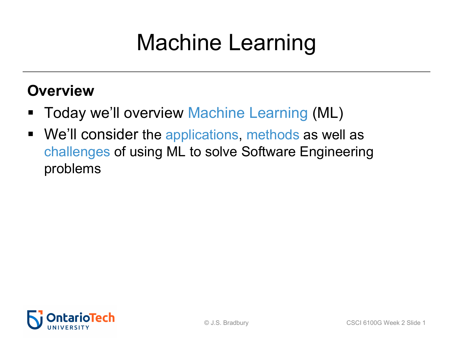# Machine Learning

### **Overview**

- Today we'll overview Machine Learning (ML)
- We'll consider the applications, methods as well as challenges of using ML to solve Software Engineering problems

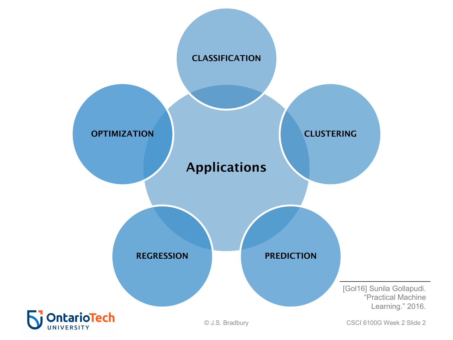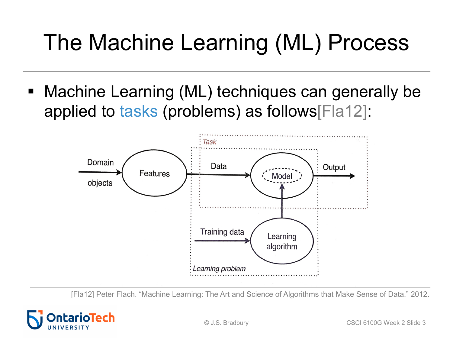# The Machine Learning (ML) Process

Machine Learning (ML) techniques can generally be applied to tasks (problems) as follows[Fla12]:



[Fla12] Peter Flach. "Machine Learning: The Art and Science of Algorithms that Make Sense of Data." 2012.

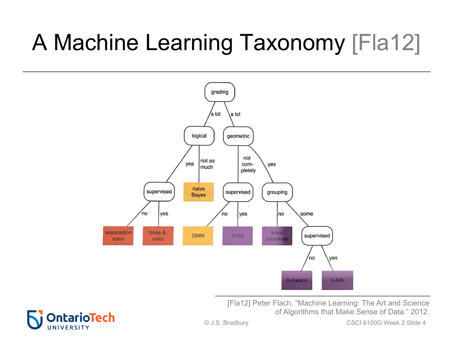# A Machine Learning Taxonomy [Fla12]



[Fla12] Peter Flach. "Machine Learning: The Art and Science of Algorithms that Make Sense of Data." 2012.

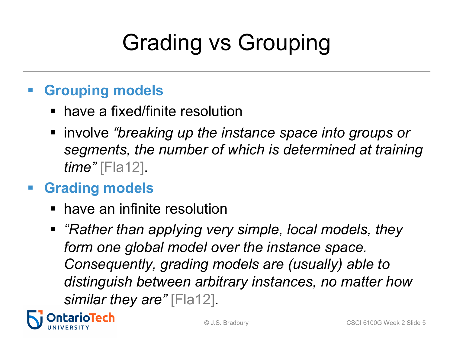# Grading vs Grouping

### § **Grouping models**

- have a fixed/finite resolution
- involve *"breaking up the instance space into groups or segments, the number of which is determined at training time"* [Fla12].

### § **Grading models**

- have an infinite resolution
- *"Rather than applying very simple, local models, they form one global model over the instance space. Consequently, grading models are (usually) able to distinguish between arbitrary instances, no matter how similar they are"* [Fla12].

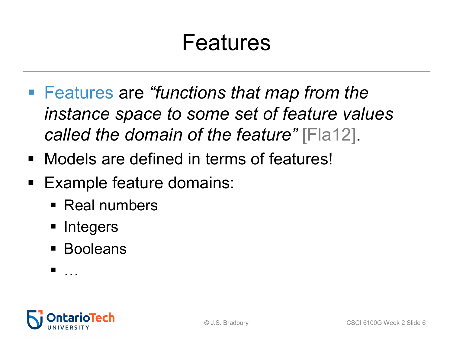## Features

- Features are *"functions that map from the instance space to some set of feature values called the domain of the feature"* [Fla12].
- Models are defined in terms of features!
- Example feature domains:
	- § Real numbers
	- Integers
	- Booleans
	- $\blacksquare$

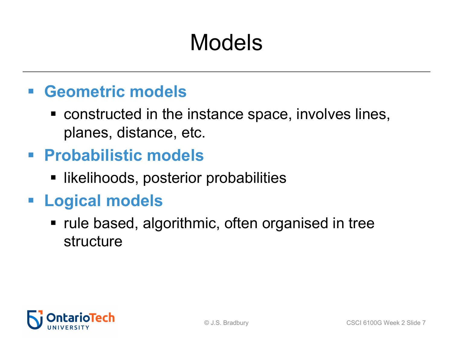# Models

### § **Geometric models**

■ constructed in the instance space, involves lines, planes, distance, etc.

### § **Probabilistic models**

■ likelihoods, posterior probabilities

### § **Logical models**

• rule based, algorithmic, often organised in tree structure

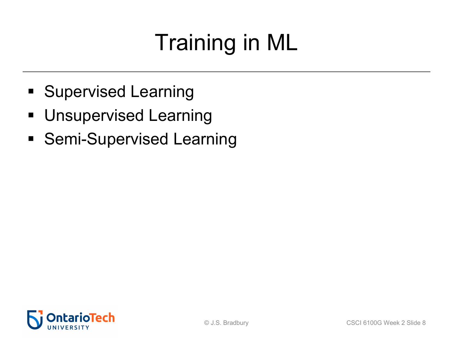# Training in ML

- § Supervised Learning
- **Unsupervised Learning**
- Semi-Supervised Learning

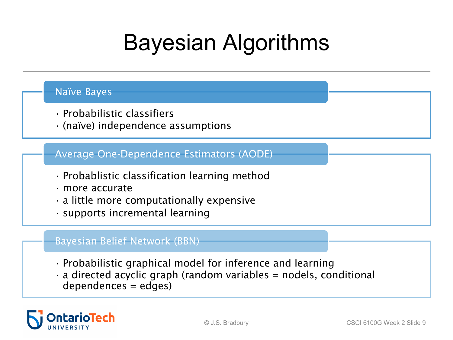## Bayesian Algorithms

#### Naïve Bayes

- Probabilistic classifiers
- (naïve) independence assumptions

#### Average One-Dependence Estimators (AODE)

- Probablistic classification learning method
- more accurate
- a little more computationally expensive
- supports incremental learning

#### Bayesian Belief Network (BBN)

- Probabilistic graphical model for inference and learning
- $\cdot$  a directed acyclic graph (random variables = nodels, conditional dependences = edges)

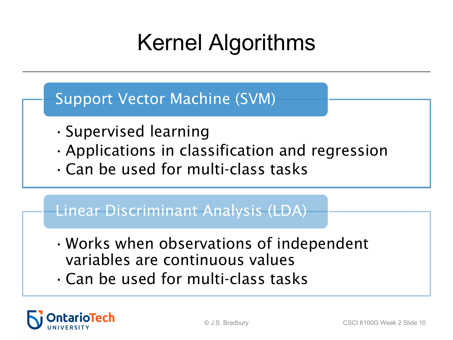# Kernel Algorithms

#### Support Vector Machine (SVM)

- •Supervised learning
- •Applications in classification and regression
- •Can be used for multi-class tasks

### Linear Discriminant Analysis (LDA)

- •Works when observations of independent variables are continuous values
- •Can be used for multi-class tasks

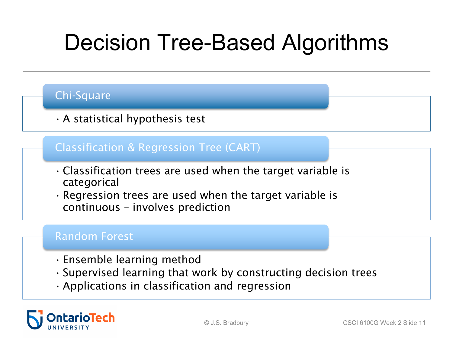## Decision Tree-Based Algorithms

#### Chi-Square

•A statistical hypothesis test

#### Classification & Regression Tree (CART)

- •Classification trees are used when the target variable is categorical
- Regression trees are used when the target variable is continuous – involves prediction

#### Random Forest

- Ensemble learning method
- Supervised learning that work by constructing decision trees
- •Applications in classification and regression

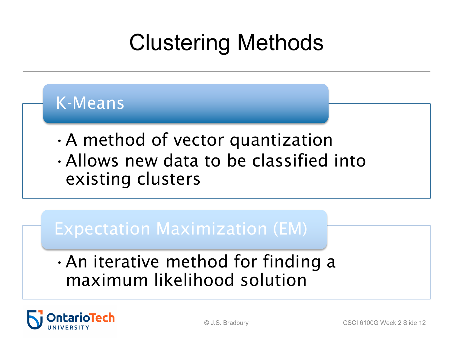# Clustering Methods

### K-Means

•A method of vector quantization •Allows new data to be classified into existing clusters

### Expectation Maximization (EM)

•An iterative method for finding a maximum likelihood solution

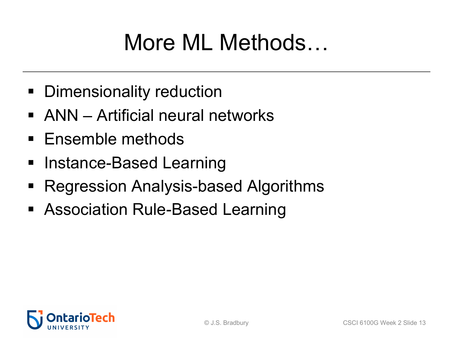## More ML Methods…

- **Dimensionality reduction**
- ANN Artificial neural networks
- Ensemble methods
- Instance-Based Learning
- § Regression Analysis-based Algorithms
- Association Rule-Based Learning

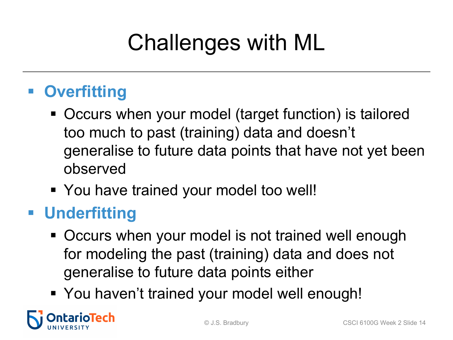# Challenges with ML

### § **Overfitting**

- Occurs when your model (target function) is tailored too much to past (training) data and doesn't generalise to future data points that have not yet been observed
- § You have trained your model too well!

### § **Underfitting**

- Occurs when your model is not trained well enough for modeling the past (training) data and does not generalise to future data points either
- § You haven't trained your model well enough!

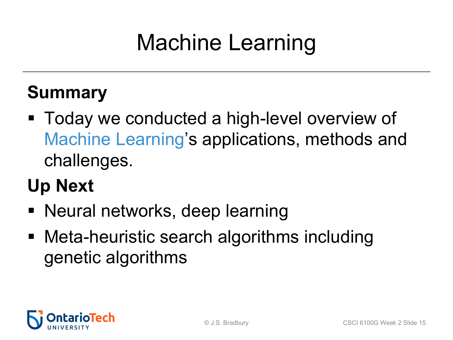# Machine Learning

### **Summary**

- Today we conducted a high-level overview of Machine Learning's applications, methods and challenges.
- **Up Next**
- Neural networks, deep learning
- Meta-heuristic search algorithms including genetic algorithms